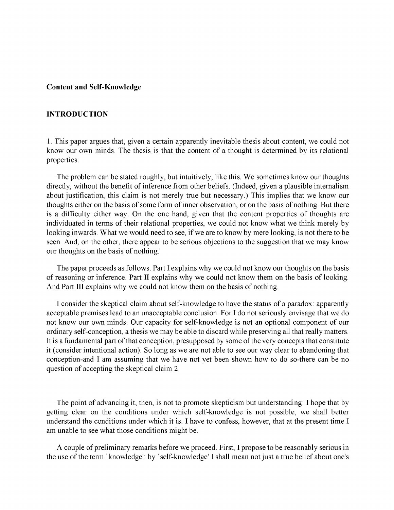#### Content and Self-Knowledge

#### INTRODUCTION

1. This paper argues that, given a certain apparently inevitable thesis about content, we could not know our own minds. The thesis is that the content of a thought is determined by its relational properties.

The problem can be stated roughly, but intuitively, like this. We sometimes know our thoughts directly, without the benefit of inference from other beliefs. (Indeed, given a plausible internalism about justification, this claim is not merely true but necessary.) This implies that we know our thoughts either on the basis of some form of inner observation, or on the basis of nothing. But there is a difficulty either way. On the one hand, given that the content properties of thoughts are individuated in terms of their relational properties, we could not know what we think merely by looking inwards. What we would need to see, if we are to know by mere looking, is not there to be seen. And, on the other, there appear to be serious objections to the suggestion that we may know our thoughts on the basis of nothing.'

The paper proceeds as follows. Part I explains why we could not know our thoughts on the basis of reasoning or inference. Part II explains why we could not know them on the basis of looking. And Part III explains why we could not know them on the basis of nothing.

I consider the skeptical claim about self-knowledge to have the status of a paradox: apparently acceptable premises lead to an unacceptable conclusion. For I do not seriously envisage that we do not know our own minds. Our capacity for self-knowledge is not an optional component of our ordinary self-conception, a thesis we may be able to discard while preserving all that reallymatters. It is a fundamental part of that conception, presupposed by some of the very concepts that constitute it (consider intentional action). So long as we are not able to see our way clear to abandoning that conception-and I am assuming that we have not yet been shown how to do so-there can be no question of accepting the skeptical claim.2

The point of advancing it, then, is not to promote skepticism but understanding: I hope that by getting clear on the conditions under which self-knowledge is not possible, we shall better understand the conditions under which it is. I have to confess, however, that at the present time I am unable to see what those conditions might be.

A couple of preliminary remarks before we proceed. First, I propose to be reasonably serious in the use of the term 'knowledge': by 'self-knowledge' I shall mean not just a true belief about one's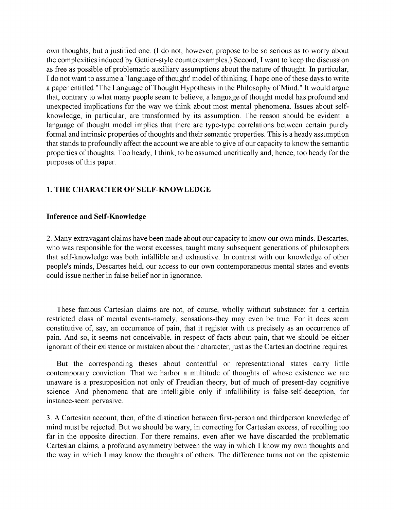own thoughts, but a justified one. (I do not, however, propose to be so serious as to worry about the complexities induced by Gettier-style counterexamples.) Second, I want to keep the discussion as free as possible of problematic auxiliary assumptions about the nature of thought. In particular, I do not want to assume a 'language of thought' model of thinking. I hope one of these days to write a paper entitled "The Language of Thought Hypothesis in the Philosophy of Mind." It would argue that, contrary to what many people seem to believe, a language of thought model has profound and unexpected implications for the way we think about most mental phenomena. Issues about selfknowledge, in particular, are transformed by its assumption. The reason should be evident: a language of thought model implies that there are type-type correlations between certain purely formal and intrinsic properties of thoughts and their semantic properties. This is a heady assumption that stands to profoundly affect the account we are able to give of our capacity to know the semantic properties of thoughts. Too heady, I think, to be assumed uncritically and, hence, too heady for the purposes of this paper.

# 1. THE CHARACTER OF SELF-KNOWLEDGE

### Inference and Self-Knowledge

2. Many extravagant claims have been made about our capacity to know our own minds. Descartes, who was responsible for the worst excesses, taught many subsequent generations of philosophers that self-knowledge was both infallible and exhaustive. In contrast with our knowledge of other people's minds, Descartes held, our access to our own contemporaneous mental states and events could issue neither in false belief nor in ignorance.

These famous Cartesian claims are not, of course, wholly without substance; for a certain restricted class of mental events-namely, sensations-they may even be true. For it does seem constitutive of, say, an occurrence of pain, that it register with us precisely as an occurrence of pain. And so, it seems not conceivable, in respect of facts about pain, that we should be either ignorant of their existence or mistaken about their character, just as the Cartesian doctrine requires.

But the corresponding theses about contentful or representational states carry little contemporary conviction. That we harbor a multitude of thoughts of whose existence we are unaware is a presupposition not only of Freudian theory, but of much of present-day cognitive science. And phenomena that are intelligible only if infallibility is false-self-deception, for instance-seem pervasive.

3. A Cartesian account, then, of the distinction between first-person and thirdperson knowledge of mind must be rejected. But we should be wary, in correcting for Cartesian excess, of recoiling too far in the opposite direction. For there remains, even after we have discarded the problematic Cartesian claims, a profound asymmetry between the way in which I know my own thoughts and the way in which I may know the thoughts of others. The difference turns not on the epistemic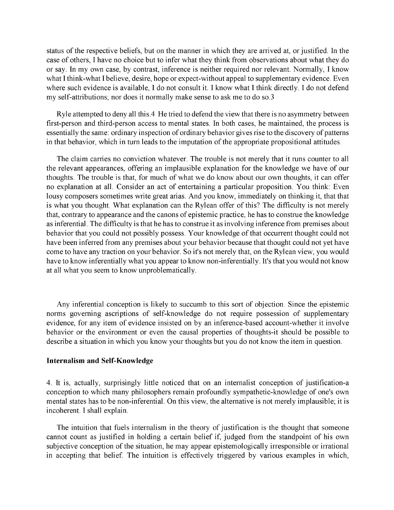status of the respective beliefs, but on the manner in which they are arrived at, or justified. In the case of others, I have no choice but to infer what they think from observations about what they do or say. In my own case, by contrast, inference is neither required nor relevant. Normally, I know what I think-what I believe, desire, hope or expect-without appeal to supplementary evidence. Even where such evidence is available, I do not consult it. I know what I think directly. I do not defend my self-attributions; nor does it normally make sense to ask me to do so.3

Ryle attempted to deny all this.4 He tried to defend the view that there is no asymmetry between first-person and third-person access to mental states. In both cases, he maintained, the process is essentially the same: ordinary inspection of ordinary behavior gives rise to the discovery of patterns in that behavior, which in turn leads to the imputation of the appropriate propositional attitudes.

The claim carries no conviction whatever. The trouble is not merely that it runs counter to all the relevant appearances, offering an implausible explanation for the knowledge we have of our thoughts. The trouble is that, for much of what we do know about our own thoughts, it can offer no explanation at all. Consider an act of entertaining a particular proposition. You think: Even lousy composers sometimes write great arias. And you know, immediately on thinking it, that that is what you thought. What explanation can the Rylean offer of this? The difficulty is not merely that, contrary to appearance and the canons of epistemic practice, he has to construe the knowledge as inferential. The difficulty is that he has to construe it as involving inference from premises about behavior that you could not possibly possess. Your knowledge of that occurrent thought could not have been inferred from any premises about your behavior because that thought could not yet have come to have any traction on your behavior. So it's not merely that, on the Rylean view, you would have to know inferentially what you appear to know non-inferentially. It's that you would not know at all what you seem to know unproblematically.

Any inferential conception is likely to succumb to this sort of objection. Since the epistemic norms governing ascriptions of self-knowledge do not require possession of supplementary evidence, for any item of evidence insisted on by an inference-based account-whether it involve behavior or the environment or even the causal properties of thoughts-it should be possible to describe a situation in which you know your thoughts but you do not know the item in question.

### Internalism and Self-Knowledge

4. It is, actually, surprisingly little noticed that on an internalist conception of justification-a conception to which many philosophers remain profoundly sympathetic-knowledge of one's own mental states has to be non-inferential. On this view, the alternative is not merely implausible; it is incoherent. I shall explain.

The intuition that fuels internalism in the theory of justification is the thought that someone cannot count as justified in holding a certain belief if, judged from the standpoint of his own subjective conception of the situation, he may appear epistemologically irresponsible or irrational in accepting that belief. The intuition is effectively triggered by various examples in which,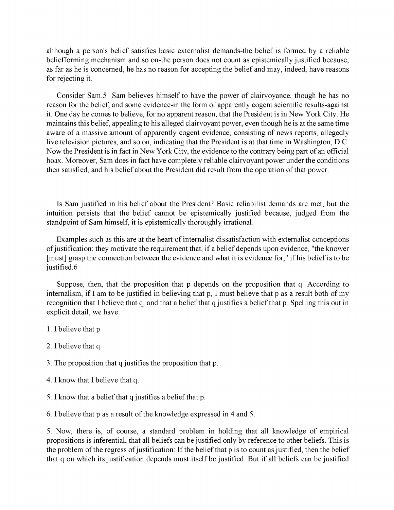although a person's belief satisfies basic externalist demands-the belief is formed by a reliable beliefforming mechanism and so on-the person does not count as epistemically justified because, as far as he is concerned, he has no reason for accepting the belief and may, indeed, have reasons for rejecting it.

Consider Sam.5 Sam believes himself to have the power of clairvoyance, though he has no reason for the belief, and some evidence-in the form of apparently cogent scientific results-against it. One day he comes to believe, for no apparent reason, that the President is in New York City. He maintains this belief, appealing to his alleged clairvoyant power, even though he is at the same time aware of a massive amount of apparently cogent evidence, consisting of news reports, allegedly live television pictures, and so on, indicating that the President is at that time in Washington, D.C. Now the President is in fact in New YorkCity, the evidence to the contrary being part of an official hoax. Moreover, Sam does in fact have completely reliable clairvoyant power under the conditions then satisfied, and his belief about the President did result from the operation of that power.

Is Sam justified in his belief about the President? Basic reliabilist demands are met; but the intuition persists that the belief cannot be epistemically justified because, judged from the standpoint of Sam himself, it is epistemically thoroughly irrational.

Examples such as this are at the heart of internalist dissatisfaction with externalist conceptions of justification; they motivate the requirement that, if a belief depends upon evidence, "the knower [must] grasp the connection between the evidence and what it is evidence for," if his belief is to be justified.6

Suppose, then, that the proposition that p depends on the proposition that q. According to internalism, if I am to be justified in believing that p, I must believe that p as a result both of my recognition that I believe that q, and that a belief that q justifies a belief that p. Spelling this out in explicit detail, we have:

- 1. I believe that p.
- 2. I believe that q.
- 3. The proposition that q justifies the proposition that p.
- 4. I know that I believe that q.
- 5. I know that a belief that q justifies a belief that  $p$ .
- 6. I believe that p as a result of the knowledge expressed in 4 and 5.

5. Now, there is, of course, a standard problem in holding that all knowledge of empirical propositions is inferential, that all beliefs can be justified only by reference to other beliefs. This is the problem of the regress of justification: If the belief that p is to count as justified, then the belief that q on which its justification depends must itself be justified. But if all beliefs can be justified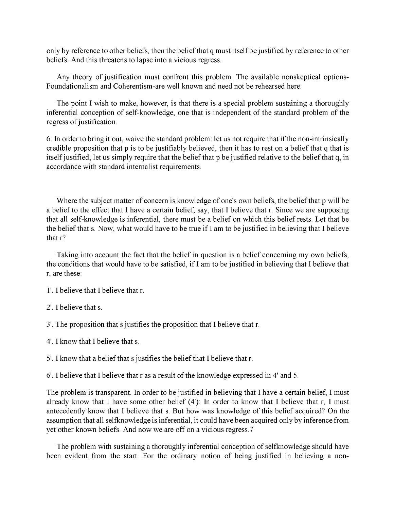only by reference to other beliefs, then the belief that q must itself be justified by reference to other beliefs. And this threatens to lapse into a vicious regress.

Any theory of justification must confront this problem. The available nonskeptical options-Foundationalism and Coherentism-are well known and need not be rehearsed here.

The point I wish to make, however, is that there is a special problem sustaining a thoroughly inferential conception of self-knowledge, one that is independent of the standard problem of the regress of justification.

6. In order to bring it out, waive the standard problem: let us not require that if the non-intrinsically credible proposition that p is to be justifiably believed, then it has to rest on a belief that q that is itself justified; let us simply require that the belief that p be justified relative to the belief that q, in accordance with standard internalist requirements.

Where the subject matter of concern is knowledge of one's own beliefs, the belief that p will be a beliefto the effect that I have a certain belief, say, that I believe that r. Since we are supposing that all self-knowledge is inferential, there must be a belief on which this belief rests. Let that be the belief that s. Now, what would have to be true if I am to be justified in believing that I believe that r?

Taking into account the fact that the belief in question is a belief concerning my own beliefs, the conditions that would have to be satisfied, ifI am to be justified in believing that I believe that r, are these:

- 1'. I believe that I believe that r.
- 2'. I believe that s.
- 3'. The proposition that s justifies the proposition that I believe that r.
- 4'. I know that I believe that s.
- $5'$ . I know that a belief that s justifies the belief that I believe that r.
- $6'$ . I believe that I believe that r as a result of the knowledge expressed in 4' and 5.

The problem is transparent. In order to be justified in believing that I have a certain belief, I must already know that I have some other belief (4'): In order to know that I believe that r, I must antecedently know that I believe that s. But how was knowledge of this belief acquired? On the assumption that all selfknowledge is inferential, it could have been acquired only by inference from yet other known beliefs. And now we are off on a vicious regress.7

The problem with sustaining a thoroughly inferential conception of selfknowledge should have been evident from the start. For the ordinary notion of being justified in believing a non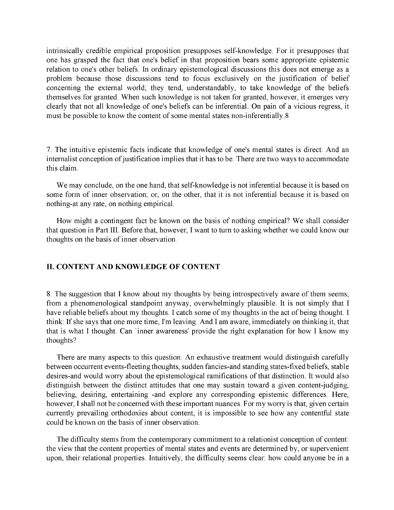intrinsically credible empirical proposition presupposes self-knowledge. For it presupposes that one has grasped the fact that one's belief in that proposition bears some appropriate epistemic relation to one's other beliefs. In ordinary epistemological discussions this does not emerge as a problem because those discussions tend to focus exclusively on the justification of belief concerning the external world; they tend, understandably, to take knowledge of the beliefs themselves for granted. When such knowledge is not taken for granted, however, it emerges very clearly that not all knowledge of one's beliefs can be inferential. On pain of a vicious regress, it must be possible to know the content of some mental states non-inferentially.8

7. The intuitive epistemic facts indicate that knowledge of one's mental states is direct. And an internalist conception of justification implies that it has to be. There are two ways to accommodate this claim.

We may conclude, on the one hand, that self-knowledge is not inferential because it is based on some form of inner observation; or, on the other, that it is not inferential because it is based on nothing-at any rate, on nothing empirical.

How might a contingent fact be known on the basis of nothing empirical? We shall consider that question in Part III. Before that, however, I want to turn to asking whether we could know our thoughts on the basis of inner observation.

## II. CONTENT AND KNOWLEDGE OF CONTENT

8. The suggestion that I know about my thoughts by being introspectively aware of them seems, from a phenomenological standpoint anyway, overwhelmingly plausible. It is not simply that I have reliable beliefs about my thoughts. I catch some of my thoughts in the act of being thought. I think: If she says that one more time, I'm leaving. And I am aware, immediately on thinking it, that that is what I thought. Can 'inner awareness' provide the right explanation for how I know my thoughts?

There are many aspects to this question. An exhaustive treatment would distinguish carefully between occurrent events-fleeting thoughts, sudden fancies-and standing states-fixed beliefs, stable desires-and would worry about the epistemological ramifications of that distinction. It would also distinguish between the distinct attitudes that one may sustain toward a given content-judging, believing, desiring, entertaining -and explore any corresponding epistemic differences. Here, however, I shall not be concerned with these important nuances. For my worry is that, given certain currently prevailing orthodoxies about content, it is impossible to see how any contentful state could be known on the basis of inner observation.

The difficulty stems from the contemporary commitment to a relationist conception of content: the view that the content properties of mental states and events are determined by, or supervenient upon, their relational properties. Intuitively, the difficulty seems clear: how could anyone be in a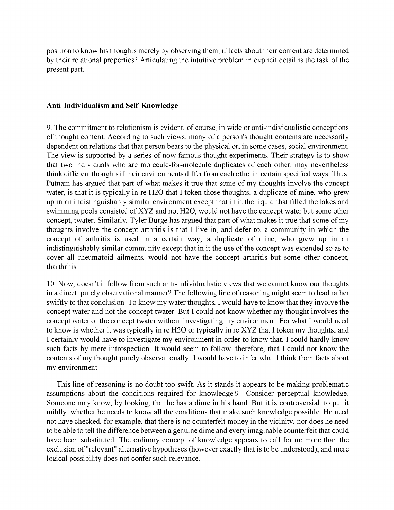position to know his thoughts merely by observing them, iffacts about their content are determined by their relational properties? Articulating the intuitive problem in explicit detail is the task of the present part.

### Anti-Individualism and Self-Knowledge

9. The commitment to relationism is evident, of course, in wide or anti-individualistic conceptions of thought content. According to such views, many of a person's thought contents are necessarily dependent on relations that that person bears to the physical or, in some cases, social environment. The view is supported by a series of now-famous thought experiments. Their strategy is to show that two individuals who are molecule-for-molecule duplicates of each other, may nevertheless think different thoughts if their environments differ from each other in certain specified ways. Thus, Putnam has argued that part of what makes it true that some of my thoughts involve the concept water, is that it is typically in re H2O that I token those thoughts; a duplicate of mine, who grew up in an indistinguishably similar environment except that in it the liquid that filled the lakes and swimming pools consisted of XYZ and not H2O, would not have the concept water but some other concept, twater. Similarly, Tyler Burge has argued that part of what makes it true that some of my thoughts involve the concept arthritis is that I live in, and defer to, a community in which the concept of arthritis is used in a certain way; a duplicate of mine, who grew up in an indistinguishably similar community except that in it the use of the concept was extended so as to cover all rheumatoid ailments, would not have the concept arthritis but some other concept, tharthritis.

10. Now, doesn't it follow from such anti-individualistic views that we cannot know our thoughts in a direct, purely observational manner? The following line of reasoning might seem to lead rather swiftly to that conclusion. To know my water thoughts, I would have to know that they involve the concept water and not the concept twater. But I could not know whether my thought involves the concept water or the concept twater without investigating my environment. For what I would need to know is whether it was typically in re H2O or typically in re XYZ that I token my thoughts; and I certainly would have to investigate my environment in order to know that. I could hardly know such facts by mere introspection. It would seem to follow, therefore, that I could not know the contents of my thought purely observationally: I would have to infer what I think from facts about my environment.

This line of reasoning is no doubt too swift. As it stands it appears to be making problematic assumptions about the conditions required for knowledge.9 Consider perceptual knowledge. Someone may know, by looking, that he has a dime in his hand. But it is controversial, to put it mildly, whether he needs to know all the conditions that make such knowledge possible. He need not have checked, for example, that there is no counterfeit money in the vicinity, nor does he need to be able to tell the difference between a genuine dime and every imaginable counterfeit that could have been substituted. The ordinary concept of knowledge appears to call for no more than the exclusion of"relevant" alternative hypotheses (however exactly that is to be understood); and mere logical possibility does not confer such relevance.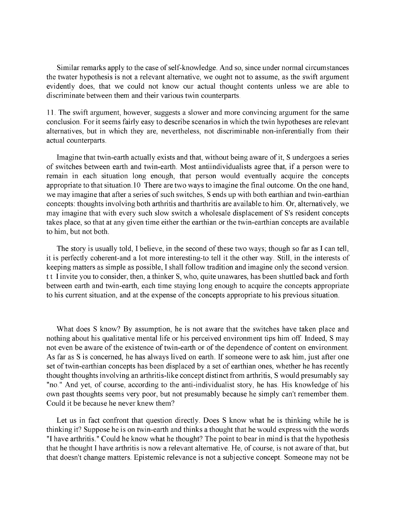Similar remarks apply to the case of self-knowledge. And so, since under normal circumstances the twater hypothesis is not a relevant alternative, we ought not to assume, as the swift argument evidently does, that we could not know our actual thought contents unless we are able to discriminate between them and their various twin counterparts.

11. The swift argument, however, suggests a slower and more convincing argument for the same conclusion. For it seems fairly easy to describe scenarios in which the twin hypotheses are relevant alternatives, but in which they are, nevertheless, not discriminable non-inferentially from their actual counterparts.

Imagine that twin-earth actually exists and that, without being aware of it, S undergoes a series of switches between earth and twin-earth. Most antiindividualists agree that, if a person were to remain in each situation long enough, that person would eventually acquire the concepts appropriate to that situation.10 There are two ways to imagine the final outcome. On the one hand, we may imagine that after a series of such switches, S ends up with both earthian and twin-earthian concepts: thoughts involving both arthritis and tharthritis are available to him. Or, alternatively, we may imagine that with every such slow switch a wholesale displacement of S's resident concepts takes place, so that at any given time either the earthian or the twin-earthian concepts are available to him, but not both.

The story is usually told, I believe, in the second of these two ways; though so far as I can tell, it is perfectly coherent-and a lot more interesting-to tell it the other way. Still, in the interests of keeping matters as simple as possible, I shall follow tradition and imagine only the second version. t t I invite you to consider, then, a thinker S, who, quite unawares, has been shuttled back and forth between earth and twin-earth, each time staying long enough to acquire the concepts appropriate to his current situation, and at the expense of the concepts appropriate to his previous situation.

What does S know? By assumption, he is not aware that the switches have taken place and nothing about his qualitative mental life or his perceived environment tips him off. Indeed, S may not even be aware of the existence of twin-earth or of the dependence of content on environment. As far as S is concerned, he has always lived on earth. If someone were to ask him, just after one set of twin-earthian concepts has been displaced by a set of earthian ones, whether he has recently thought thoughts involving an arthritis-like concept distinct from arthritis, S would presumably say "no." And yet, of course, according to the anti-individualist story, he has. His knowledge of his own past thoughts seems very poor, but not presumably because he simply can't remember them. Could it be because he never knew them?

Let us in fact confront that question directly. Does S know what he is thinking while he is thinking it? Suppose he is on twin-earth and thinks a thought that he would express with the words "I have arthritis." Could he know what he thought? The point to bear in mind is that the hypothesis that he thought I have arthritis is now a relevant alternative. He, of course, is not aware ofthat, but that doesn't change matters. Epistemic relevance is not a subjective concept. Someone may not be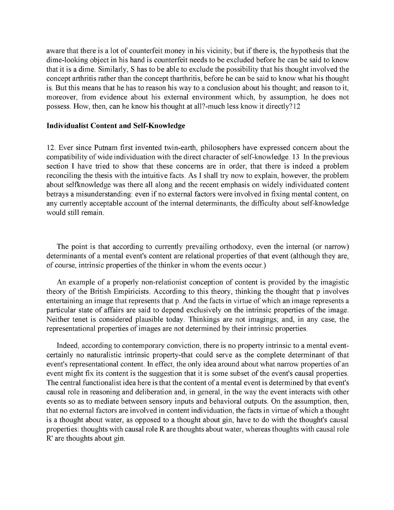aware that there is a lot of counterfeit money in his vicinity; but if there is, the hypothesis that the dime-looking object in his hand is counterfeit needs to be excluded before he can be said to know that it is a dime. Similarly, S has to be able to exclude the possibility that his thought involved the concept arthritis rather than the concept tharthritis, before he can be said to know what his thought is. But this means that he has to reason his way to a conclusion about his thought; and reason to it, moreover, from evidence about his external environment which, by assumption, he does not possess. How, then, can he know his thought at all?-much less know it directly?12

#### Individualist Content and Self-Knowledge

12. Ever since Putnam first invented twin-earth, philosophers have expressed concern about the compatibility of wide individuation with the direct character of self-knowledge. 13 In the previous section I have tried to show that these concerns are in order, that there is indeed a problem reconciling the thesis with the intuitive facts. As I shall try now to explain, however, the problem about selfknowledge was there all along and the recent emphasis on widely individuated content betrays a misunderstanding: even if no external factors were involved in fixing mental content, on any currently acceptable account of the internal determinants, the difficulty about self-knowledge would still remain.

The point is that according to currently prevailing orthodoxy, even the internal (or narrow) determinants of a mental event's content are relational properties of that event (although they are, of course, intrinsic properties of the thinker in whom the events occur.)

An example of a properly non-relationist conception of content is provided by the imagistic theory of the British Empiricists. According to this theory, thinking the thought that p involves entertaining an image that represents that p. And the facts in virtue of which an image represents a particular state of affairs are said to depend exclusively on the intrinsic properties of the image. Neither tenet is considered plausible today. Thinkings are not imagings; and, in any case, the representational properties of images are not determined by their intrinsic properties.

Indeed, according to contemporary conviction, there is no property intrinsic to a mental eventcertainly no naturalistic intrinsic property-that could serve as the complete determinant of that event's representational content. In effect, the only idea around about what narrow properties of an event might fix its content is the suggestion that it is some subset of the event's causal properties. The central functionalist idea here is that the content of a mental event is determined by that event's causal role in reasoning and deliberation and, in general, in the way the event interacts with other events so as to mediate between sensory inputs and behavioral outputs. On the assumption, then, that no external factors are involved in content individuation, the facts in virtue of which a thought is a thought about water, as opposed to a thought about gin, have to do with the thought's causal properties: thoughts with causal role R are thoughts about water, whereas thoughts with causal role R' are thoughts about gin.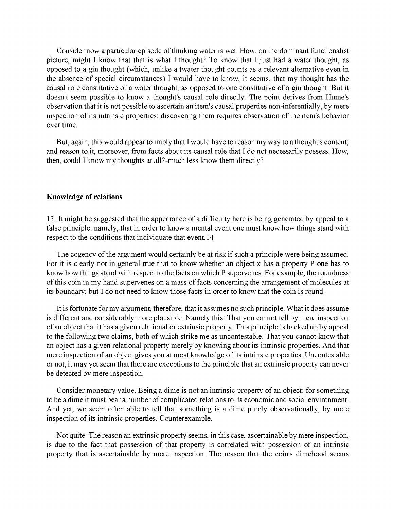Consider now a particular episode of thinking water is wet. How, on the dominant functionalist picture, might I know that that is what I thought? To know that I just had a water thought, as opposed to a gin thought (which, unlike a twater thought counts as a relevant alternative even in the absence of special circumstances) I would have to know, it seems, that my thought has the causal role constitutive of a water thought, as opposed to one constitutive of a gin thought. But it doesn't seem possible to know a thought's causal role directly. The point derives from Hume's observation that it is not possible to ascertain an item's causal properties non-inferentially, by mere inspection of its intrinsic properties; discovering them requires observation of the item's behavior over time.

But, again, this would appear to imply that I would have to reason my way to a thought's content; and reason to it, moreover, from facts about its causal role that I do not necessarily possess. How, then, could I know my thoughts at all?-much less know them directly?

#### Knowledge of relations

13. It might be suggested that the appearance of a difficulty here is being generated by appeal to a false principle: namely, that in order to know a mental event one must know how things stand with respect to the conditions that individuate that event.14

The cogency of the argument would certainly be at risk if such a principle were being assumed. For it is clearly not in general true that to know whether an object x has a property P one has to know how things stand with respect to the facts on which P supervenes. For example, the roundness of this coin in my hand supervenes on a mass of facts concerning the arrangement of molecules at its boundary; but I do not need to know those facts in order to know that the coin is round.

It is fortunate formy argument, therefore, that it assumes no such principle.What it does assume is different and considerably more plausible. Namely this: That you cannot tell by mere inspection of an object that it has a given relational or extrinsic property. This principle is backed up by appeal to the following two claims, both of which strike me as uncontestable. That you cannot know that an object has a given relational property merely by knowing about its intrinsic properties. And that mere inspection of an object gives you at most knowledge of its intrinsic properties. Uncontestable or not, it may yet seem that there are exceptions to the principle that an extrinsic property can never be detected by mere inspection.

Consider monetary value. Being a dime is not an intrinsic property of an object: for something to be a dime it must bear a number of complicated relations to its economic and social environment. And yet, we seem often able to tell that something is a dime purely observationally, by mere inspection of its intrinsic properties. Counterexample.

Not quite.The reason an extrinsic property seems, in this case, ascertainable by mere inspection, is due to the fact that possession of that property is correlated with possession of an intrinsic property that is ascertainable by mere inspection. The reason that the coin's dimehood seems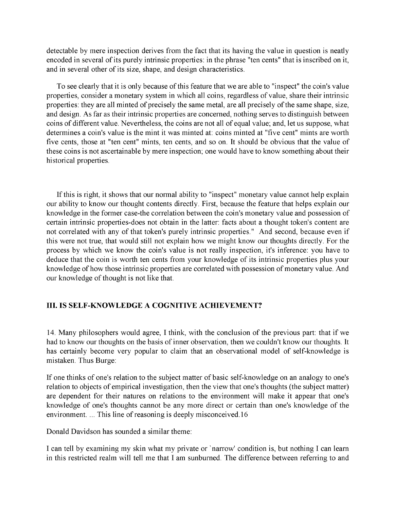detectable by mere inspection derives from the fact that its having the value in question is neatly encoded in several of its purely intrinsic properties: in the phrase "ten cents" that is inscribed on it, and in several other of its size, shape, and design characteristics.

To see clearly that it is only because of this feature that we are able to "inspect" the coin's value properties, consider a monetary system in which all coins, regardless of value, share their intrinsic properties: they are all minted of precisely the same metal, are all precisely of the same shape, size, and design. As far as their intrinsic properties are concerned, nothing serves to distinguish between coins of different value. Nevertheless, the coins are not all of equal value; and, let us suppose, what determines a coin's value is the mint it was minted at: coins minted at "five cent" mints are worth five cents, those at "ten cent" mints, ten cents, and so on. It should be obvious that the value of these coins is not ascertainable by mere inspection; one would have to know something about their historical properties.

If this is right, it shows that our normal ability to "inspect" monetary value cannot help explain our ability to know our thought contents directly. First, because the feature that helps explain our knowledge in the former case-the correlation between the coin's monetary value and possession of certain intrinsic properties-does not obtain in the latter: facts about a thought token's content are not correlated with any of that token's purely intrinsic properties." And second, because even if this were not true, that would still not explain how we might know our thoughts directly. For the process by which we know the coin's value is not really inspection, it's inference: you have to deduce that the coin is worth ten cents from your knowledge of its intrinsic properties plus your knowledge of how those intrinsic properties are correlated with possession of monetary value. And our knowledge of thought is not like that.

## III. IS SELF-KNOWLEDGE A COGNITIVE ACHIEVEMENT?

14. Many philosophers would agree, I think, with the conclusion of the previous part: that if we had to know our thoughts on the basis of inner observation, then we couldn't know our thoughts. It has certainly become very popular to claim that an observational model of self-knowledge is mistaken. Thus Burge:

If one thinks of one's relation to the subject matter of basic self-knowledge on an analogy to one's relation to objects of empirical investigation, then the view that one's thoughts (the subject matter) are dependent for their natures on relations to the environment will make it appear that one's knowledge of one's thoughts cannot be any more direct or certain than one's knowledge of the environment. ... This line of reasoning is deeply misconceived.16

Donald Davidson has sounded a similar theme:

I can tell by examining my skin what my private or 'narrow' condition is, but nothing I can learn in this restricted realm will tell me that I am sunburned. The difference between referring to and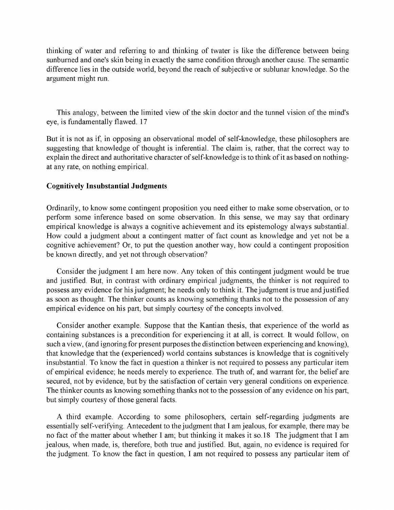thinking of water and referring to and thinking of twater is like the difference between being sunburned and one's skin being in exactly the same condition through another cause. The semantic difference lies in the outside world, beyond the reach of subjective or sublunar knowledge. So the argument might run.

This analogy, between the limited view of the skin doctor and the tunnel vision of the mind's eye, is fundamentally flawed. 17

But it is not as if, in opposing an observational model of self-knowledge, these philosophers are suggesting that knowledge of thought is inferential. The claim is, rather, that the correct way to explain the direct and authoritative character of self-knowledge is to think of it as based on nothingat any rate, on nothing empirical.

### Cognitively Insubstantial Judgments

Ordinarily, to know some contingent proposition you need either to make some observation, or to perform some inference based on some observation. In this sense, we may say that ordinary empirical knowledge is always a cognitive achievement and its epistemology always substantial. How could a judgment about a contingent matter of fact count as knowledge and yet not be a cognitive achievement? Or, to put the question another way, how could a contingent proposition be known directly, and yet not through observation?

Consider the judgment I am here now. Any token of this contingent judgment would be true and justified. But, in contrast with ordinary empirical judgments, the thinker is not required to possess any evidence for his judgment; he needs only to think it. The judgment is true and justified as soon as thought. The thinker counts as knowing something thanks not to the possession of any empirical evidence on his part, but simply courtesy of the concepts involved.

Consider another example. Suppose that the Kantian thesis, that experience of the world as containing substances is a precondition for experiencing it at all, is correct. It would follow, on such a view, (and ignoring for present purposes the distinction between experiencing and knowing), that knowledge that the (experienced) world contains substances is knowledge that is cognitively insubstantial. To know the fact in question a thinker is not required to possess any particular item of empirical evidence; he needs merely to experience. The truth of, and warrant for, the belief are secured, not by evidence, but by the satisfaction of certain very general conditions on experience. The thinker counts as knowing something thanks not to the possession of any evidence on his part, but simply courtesy of those general facts.

A third example. According to some philosophers, certain self-regarding judgments are essentially self-verifying. Antecedent to the judgment that I am jealous, for example, there may be no fact of the matter about whether I am; but thinking it makes it so.18 The judgment that I am jealous, when made, is, therefore, both true and justified. But, again, no evidence is required for the judgment. To know the fact in question, I am not required to possess any particular item of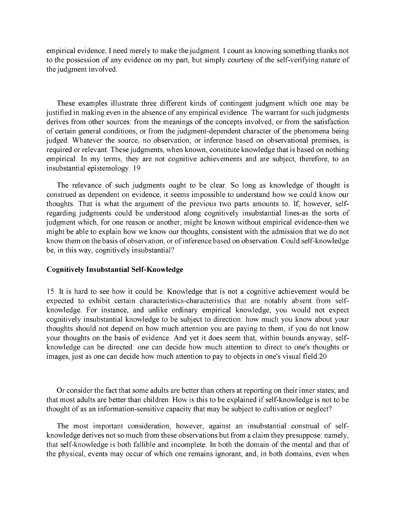empirical evidence; I need merely to make the judgment. I count as knowing something thanks not to the possession of any evidence on my part, but simply courtesy of the self-verifying nature of the judgment involved.

These examples illustrate three different kinds of contingent judgment which one may be justified in making even in the absence of any empirical evidence. The warrant for such judgments derives from other sources: from the meanings of the concepts involved, or from the satisfaction of certain general conditions, or from the judgment-dependent character of the phenomena being judged. Whatever the source, no observation, or inference based on observational premises, is required or relevant. These judgments, when known, constitute knowledge that is based on nothing empirical. In my terms, they are not cognitive achievements and are subject, therefore, to an insubstantial epistemology. 19

The relevance of such judgments ought to be clear. So long as knowledge of thought is construed as dependent on evidence, it seems impossible to understand how we could know our thoughts. That is what the argument of the previous two parts amounts to. If, however, selfregarding judgments could be understood along cognitively insubstantial lines-as the sorts of judgment which, for one reason or another, might be known without empirical evidence-then we might be able to explain how we know our thoughts, consistent with the admission that we do not know them on the basis of observation, or of inference based on observation. Could self-knowledge be, in this way, cognitively insubstantial?

### Cognitively Insubstantial Self-Knowledge

15. It is hard to see how it could be. Knowledge that is not a cognitive achievement would be expected to exhibit certain characteristics-characteristics that are notably absent from selfknowledge. For instance, and unlike ordinary empirical knowledge, you would not expect cognitively insubstantial knowledge to be subject to direction: how much you know about your thoughts should not depend on how much attention you are paying to them, if you do not know your thoughts on the basis of evidence. And yet it does seem that, within bounds anyway, selfknowledge can be directed: one can decide how much attention to direct to one's thoughts or images, just as one can decide how much attention to pay to objects in one's visual field.20

Or consider the fact that some adults are better than others at reporting on their inner states; and that most adults are better than children. How is this to be explained if self-knowledge is not to be thought of as an information-sensitive capacity that may be subject to cultivation or neglect?

The most important consideration, however, against an insubstantial construal of selfknowledge derives not so much from these observations but from a claim they presuppose: namely, that self-knowledge is both fallible and incomplete. In both the domain of the mental and that of the physical, events may occur of which one remains ignorant; and, in both domains, even when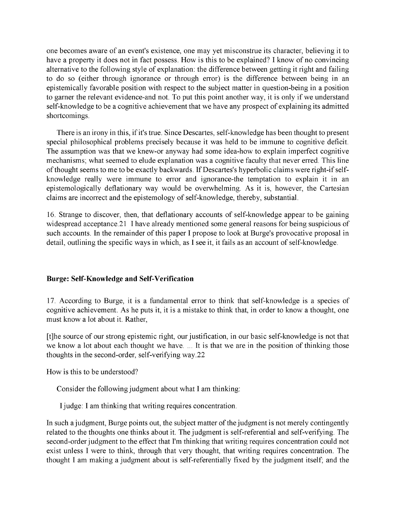one becomes aware of an event's existence, one may yet misconstrue its character, believing it to have a property it does not in fact possess. How is this to be explained? I know of no convincing alternative to the following style of explanation: the difference between getting it right and failing to do so (either through ignorance or through error) is the difference between being in an epistemically favorable position with respect to the subject matter in question-being in a position to garner the relevant evidence-and not. To put this point another way, it is only if we understand self-knowledge to be a cognitive achievement that we have any prospect of explaining its admitted shortcomings.

There is an irony in this, if it's true. Since Descartes, self-knowledge has been thought to present special philosophical problems precisely because it was held to be immune to cognitive deficit. The assumption was that we knew-or anyway had some idea-how to explain imperfect cognitive mechanisms; what seemed to elude explanation was a cognitive faculty that never erred. This line of thought seems to me to be exactly backwards. If Descartes's hyperbolic claims were right-if selfknowledge really were immune to error and ignorance-the temptation to explain it in an epistemologically deflationary way would be overwhelming. As it is, however, the Cartesian claims are incorrect and the epistemology of self-knowledge, thereby, substantial.

16. Strange to discover, then, that deflationary accounts of self-knowledge appear to be gaining widespread acceptance.21 I have already mentioned some general reasons for being suspicious of such accounts. In the remainder of this paper I propose to look at Burge's provocative proposal in detail, outlining the specific ways in which, as I see it, it fails as an account of self-knowledge.

## Burge: Self-Knowledge and Self-Verification

17. According to Burge, it is a fundamental error to think that self-knowledge is a species of cognitive achievement. As he puts it, it is a mistake to think that, in order to know a thought, one must know a lot about it. Rather,

[t]he source of our strong epistemic right, our justification, in our basic self-knowledge is not that we know a lot about each thought we have. ... It is that we are in the position of thinking those thoughts in the second-order, self-verifying way.22

How is this to be understood?

Consider the following judgment about what I am thinking:

I judge: I am thinking that writing requires concentration.

In such a judgment, Burge points out, the subject matter of the judgment is not merely contingently related to the thoughts one thinks about it. The judgment is self-referential and self-verifying. The second-order judgment to the effect that I'm thinking that writing requires concentration could not exist unless I were to think, through that very thought, that writing requires concentration. The thought I am making a judgment about is self-referentially fixed by the judgment itself; and the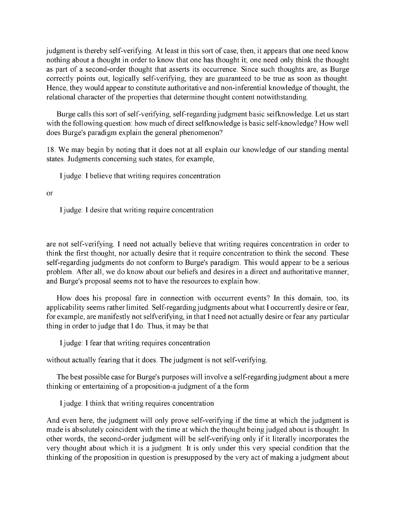judgment is thereby self-verifying. At least in this sort of case, then, it appears that one need know nothing about a thought in order to know that one has thought it; one need only think the thought as part of a second-order thought that asserts its occurrence. Since such thoughts are, as Burge correctly points out, logically self-verifying, they are guaranteed to be true as soon as thought. Hence, they would appear to constitute authoritative and non-inferential knowledge of thought, the relational character of the properties that determine thought content notwithstanding.

Burge calls this sort of self-verifying, self-regarding judgment basic seifknowledge. Let us start with the following question: how much of direct selfknowledge is basic self-knowledge? How well does Burge's paradigm explain the general phenomenon?

18. We may begin by noting that it does not at all explain our knowledge of our standing mental states. Judgments concerning such states, for example,

I judge: I believe that writing requires concentration

or

I judge: I desire that writing require concentration

are not self-verifying. I need not actually believe that writing requires concentration in order to think the first thought, nor actually desire that it require concentration to think the second. These self-regarding judgments do not conform to Burge's paradigm. This would appear to be a serious problem. After all, we do know about our beliefs and desires in a direct and authoritative manner, and Burge's proposal seems not to have the resources to explain how.

How does his proposal fare in connection with occurrent events? In this domain, too, its applicability seems rather limited. Self-regarding judgments about what I occurrently desire or fear, for example, are manifestly not selfverifying, in that I need not actually desire or fear any particular thing in order to judge that I do. Thus, it may be that

I judge: I fear that writing requires concentration

without actually fearing that it does. The judgment is not self-verifying.

The best possible case for Burge's purposes will involve a self-regarding judgment about a mere thinking or entertaining of a proposition-a judgment of a the form

I judge: I think that writing requires concentration

And even here, the judgment will only prove self-verifying if the time at which the judgment is made is absolutely coincident with the time at which the thought being judged about is thought. In other words, the second-order judgment will be self-verifying only if it literally incorporates the very thought about which it is a judgment. It is only under this very special condition that the thinking of the proposition in question is presupposed by the very act of making a judgment about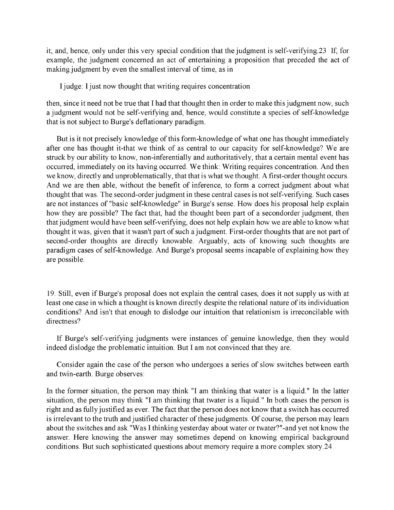it; and, hence, only under this very special condition that the judgment is self-verifying.23 If, for example, the judgment concerned an act of entertaining a proposition that preceded the act of making judgment by even the smallest interval of time, as in

Ijudge: I just now thought that writing requires concentration

then, since it need not be true that I had that thought then in order to make this judgment now, such a judgment would not be self-verifying and, hence, would constitute a species of self-knowledge that is not subject to Burge's deflationary paradigm.

But is it not precisely knowledge of this form-knowledge of what one has thought immediately after one has thought it-that we think of as central to our capacity for self-knowledge? We are struck by our ability to know, non-inferentially and authoritatively, that a certain mental event has occurred, immediately on its having occurred. We think: Writing requires concentration. And then we know, directly and unproblematically, that that is what we thought. A first-order thought occurs. And we are then able, without the benefit of inference, to form a correct judgment about what thought that was. The second-order judgment in these central cases is not self-verifying. Such cases are not instances of "basic self-knowledge" in Burge's sense. How does his proposal help explain how they are possible? The fact that, had the thought been part of a secondorder judgment, then that judgment would have been self-verifying, does not help explain how we are able to know what thought it was, given that it wasn't part of such a judgment. First-order thoughts that are not part of second-order thoughts are directly knowable. Arguably, acts of knowing such thoughts are paradigm cases of self-knowledge. And Burge's proposal seems incapable of explaining how they are possible.

19. Still, even ifBurge's proposal does not explain the central cases, does it not supply us with at least one case in which a thought is known directly despite the relational nature of its individuation conditions? And isn't that enough to dislodge our intuition that relationism is irreconcilable with directness?

If Burge's self-verifying judgments were instances of genuine knowledge, then they would indeed dislodge the problematic intuition. But I am not convinced that they are.

Consider again the case of the person who undergoes a series of slow switches between earth and twin-earth. Burge observes:

In the former situation, the person may think "I am thinking that water is a liquid." In the latter situation, the person may think "I am thinking that twater is a liquid." In both cases the person is right and as fully justified as ever. The fact that the person does not know that a switch has occurred is irrelevant to the truth and justified character of these judgments. Of course, the person may learn about the switches and ask "Was I thinking yesterday about water or twater?"-and yet not know the answer. Here knowing the answer may sometimes depend on knowing empirical background conditions. But such sophisticated questions about memory require a more complex story.24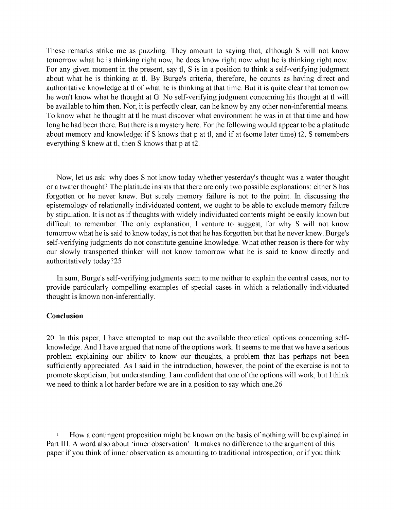These remarks strike me as puzzling. They amount to saying that, although S will not know tomorrow what he is thinking right now, he does know right now what he is thinking right now. For any given moment in the present, say tl, S is in a position to think a self-verifying judgment about what he is thinking at tl. By Burge's criteria, therefore, he counts as having direct and authoritative knowledge at tl of what he is thinking at that time. But it is quite clear that tomorrow he won't know what he thought at G. No self-verifying judgment concerning his thought at tl will be available to him then. Nor, it is perfectly clear, can he know by any other non-inferential means. To know what he thought at tl he must discover what environment he was in at that time and how long he had been there. But there is a mystery here. For the following would appear to be a platitude about memory and knowledge: if S knows that p at tl, and if at (some later time) t2, S remembers everything S knew at tl, then S knows that p at t2.

Now, let us ask: why does S not know today whether yesterday's thought was a water thought or a twater thought? The platitude insists that there are only two possible explanations: either S has forgotten or he never knew. But surely memory failure is not to the point. In discussing the epistemology of relationally individuated content, we ought to be able to exclude memory failure by stipulation. It is not as if thoughts with widely individuated contents might be easily known but difficult to remember. The only explanation, I venture to suggest, for why S will not know tomorrow what he is said to know today, is not that he has forgotten but that he never knew. Burge's self-verifying judgments do not constitute genuine knowledge. What other reason is there for why our slowly transported thinker will not know tomorrow what he is said to know directly and authoritatively today?25

In sum, Burge's self-verifying judgments seem to me neither to explain the central cases, nor to provide particularly compelling examples of special cases in which a relationally individuated thought is known non-inferentially.

### **Conclusion**

20. In this paper, I have attempted to map out the available theoretical options concerning selfknowledge. And I have argued that none of the options work. It seems to me that we have a serious problem explaining our ability to know our thoughts, a problem that has perhaps not been sufficiently appreciated. As I said in the introduction, however, the point of the exercise is not to promote skepticism, but understanding. I am confident that one of the options will work; but I think we need to think a lot harder before we are in a position to say which one.26

<sup>1</sup> How a contingent proposition might be known on the basis of nothing will be explained in Part III. A word also about 'inner observation': It makes no difference to the argument of this paper if you think of inner observation as amounting to traditional introspection, or if you think paper if you think of inner observa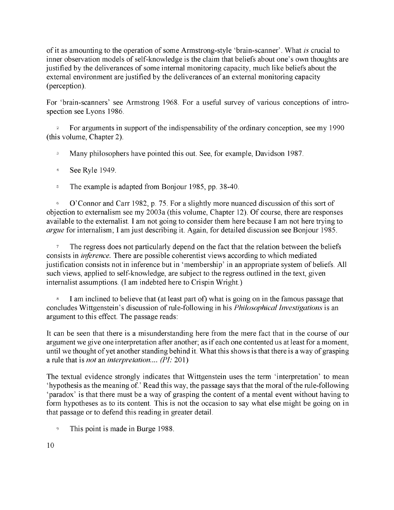of it as amounting to the operation of some Armstrong-style 'brain-scanner'. What is crucial to inner observation models of self-knowledge is the claim that beliefs about one's own thoughts are justified by the deliverances of some internal monitoring capacity, much like beliefs about the external environment are justified by the deliverances of an external monitoring capacity (perception).

For 'brain-scanners' see Armstrong 1968. For a useful survey of various conceptions of introspection see Lyons 1986.

<sup>2</sup> For arguments in support of the indispensability of the ordinary conception, see my 1990  $(this$  volume, Chapter 2). (and volume,  $\zeta$  maple  $2f$ .

- <sup>3</sup> Many philosophers have pointed this out. See, for example, Davidson 1987. Chapter 2). See, for example, Davidson 1987.
	- <sup>4</sup> See Ryle 1949. See Ryle 1949.
	- <sup>5</sup> The example is adapted from Bonjour 1985, pp. 38-40. 1985, pp. 38-40.<br>1985, pp. 38-40.

<sup>6</sup> O'Connor and Carr 1982, p. 75. For a slightly more nuanced discussion of this sort of objection to externalism see my 2003a (this volume, Chapter 12). Of course, there are responses  $\alpha$  available to the externalist. I am not going to consider them here because I am not here trying to  $\alpha$ argue for internalism; I am just describing it. Again, for detailed discussion see Bonjour 1985. available to the externalist. I am not  $\mathbf{c}$  and  $\mathbf{c}$  and  $\mathbf{c}$ 

<sup>7</sup> The regress does not particularly depend on the fact that the relation between the beliefs consists in *inference*. There are possible coherentist views according to which mediated justification consists not in inference but in 'membership' in an appropriate system of beliefs. All such views, applied to self-knowledge, are subject to the regress outlined in the text, given  $internality$  assumptions. (I am indebted here to Crispin Wright.)  $\tau$  The regress does not particularly justification consists not in infere  $\mu$ ut in an appropriate in an appropriate in an appropriate in an appropriate in an appropriate in an appropriate in an appropriate in an appropriate in an appropriate in an appropriate in an appropriate in an appropriat

 $\frac{1}{8}$  I am inclined to believe that (at least part of) what is going on in the famous passage that concludes Wittgenstein's discussion of rule-following in his *Philosophical Investigations* is an concrudes writtgenstein's discussion of run<br>argument to this effect. The passage reads: argument to this effect. The p concludes wittgenstein's discussion Philosophical Investigations is an

It can be seen that there is a misunderstanding here from the mere fact that in the course of our argument we give one interpretation after another; as if each one contented us at least for a moment, until we thought of yet another standing behind it. What this shows is that there is a way of grasping a rule that is *not* an *interpretation*.... *(PI*: 201)  $\overline{\text{I}}$  can be seen that there is a  $\overline{\text{I}}$ a rule that is *not* an *interpretation*...

The textual evidence strongly indicates that Wittgenstein uses the term 'interpretation' to mean 'hypothesis as the meaning of.' Read this way, the passage says that the moral of the rule-following 'paradox' is that there must be a way of grasping the content of a mental event without having to form hypotheses as to its content. This is not the occasion to say what else might be going on in torm hypotheses as to its content. This is not the occanition that passage or to defend this reading in greater detail. ny poinesis as ine meaning of  $\epsilon$ . that passage or to defend this read

<sup>9</sup> This point is made in Burge 1988. <sup>9</sup> This point is made in Burge 19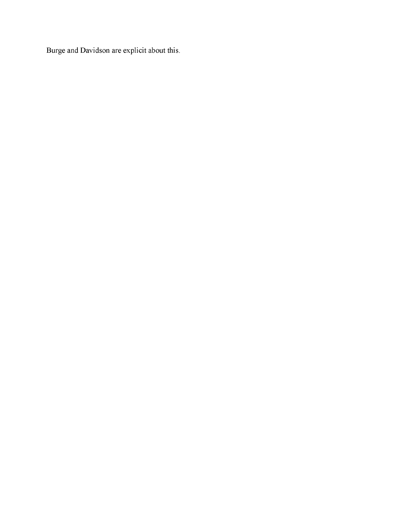Burge and Davidson are explicit about this.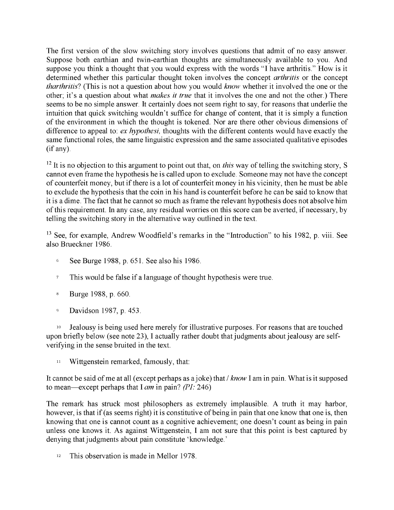The first version of the slow switching story involves questions that admit of no easy answer. Suppose both earthian and twin-earthian thoughts are simultaneously available to you. And suppose you think a thought that you would express with the words "I have arthritis." How is it determined whether this particular thought token involves the concept *arthritis* or the concept tharthritis? (This is not a question about how you would know whether it involved the one or the other; it's a question about what makes it true that it involves the one and not the other.) There seems to be no simple answer. It certainly does not seem right to say, for reasons that underlie the intuition that quick switching wouldn't suffice for change of content, that it is simply a function of the environment in which the thought is tokened. Nor are there other obvious dimensions of difference to appeal to: ex hypothesi, thoughts with the different contents would have exactly the same functional roles, the same linguistic expression and the same associated qualitative episodes (if any).

 $12$  It is no objection to this argument to point out that, on *this* way of telling the switching story, S cannot even frame the hypothesis he is called upon to exclude. Someone may not have the concept of counterfeit money, but if there is a lot of counterfeit money in his vicinity, then he must be able to exclude the hypothesis that the coin in his hand is counterfeit before he can be said to know that it is a dime. The fact that he cannot so much as frame the relevant hypothesis does not absolve him of this requirement. In any case, any residual worries on this score can be averted, if necessary, by telling the switching story in the alternative way outlined in the text. cannot even frame the hypothesis he is it is a dime. The fact that he cann tening the switching story in the art

<sup>13</sup> See, for example, Andrew Woodfield's remarks in the "Introduction" to his 1982, p. viii. See also Brueckner 1986. said to know that it is a dime. The fact  $13$  See, for example, Andrew Wo  $\alpha$  and  $\beta$  is required. In any case, and  $\alpha$ 

- $6$  See Burge 1988, p. 651. See also his 1986.  $\mathcal{S}$  story in the alternative way in the alternative way in the alternative way in the alternative way in the alternative way in the alternative way in the alternative way in the alternative way in the alternative way
- $\sigma$  This would be false if a language of thought hypothesis were true.  $\tau$  thus would be taise if
	- <sup>8</sup> Burge 1988, p. 660. Burge 1988, p. 660.
	- <sup>9</sup> Davidson 1987, p. 453. Davidson 1987, p. 453.

<sup>10</sup> Jealousy is being used here merely for illustrative purposes. For reasons that are touched upon briefly below (see note 23), I actually rather doubt that judgments about jealousy are selfverifying in the sense bruited in the text. verifying in the sense bruited in

<sup>11</sup> Wittgenstein remarked, famously, that:  $11$  Wittgenstein remark

It cannot be said of me at all (except perhaps as a joke) that  $/$  know I am in pain. What is it supposed to mean—except perhaps that I *am* in pain? (PI: 246) to mean—except perhaps that  $1a$ 

The remark has struck most philosophers as extremely implausible. A truth it may harbor, however, is that if (as seems right) it is constitutive of being in pain that one know that one is, then knowing that one is cannot count as a cognitive achievement; one doesn't count as being in pain unless one knows it. As against Wittgenstein, I am not sure that this point is best captured by denying that judgments about pain constitute 'knowledge.' however, is that if (as seems right)  $u$  countries one knows it. As against w.

 $12$  This observation is made in Mellor 1978.